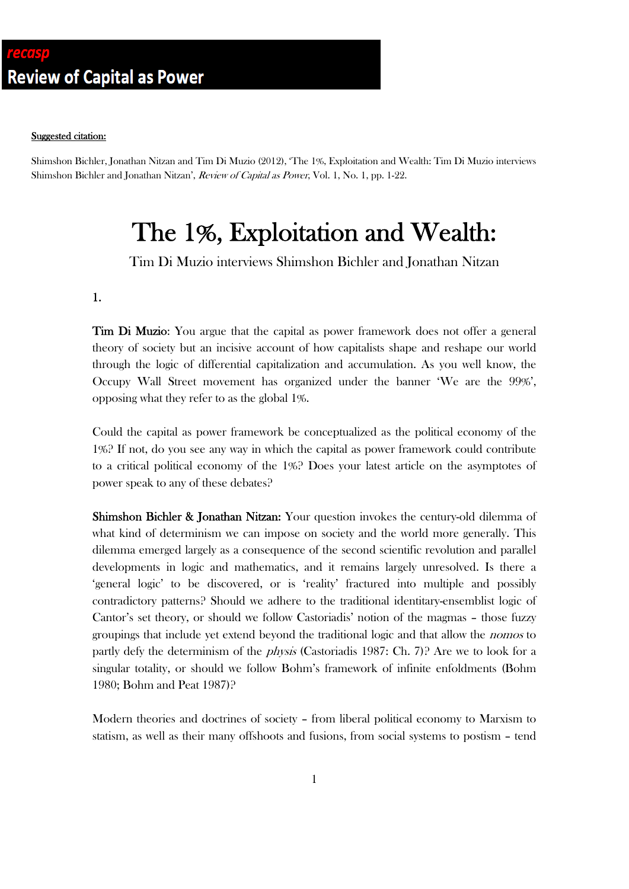## Suggested citation:

Shimshon Bichler, Jonathan Nitzan and Tim Di Muzio (2012), 'The 1%, Exploitation and Wealth: Tim Di Muzio interviews Shimshon Bichler and Jonathan Nitzan', Review of Capital as Power, Vol. 1, No. 1, pp. 1-22.

# The 1%, Exploitation and Wealth:

Tim Di Muzio interviews Shimshon Bichler and Jonathan Nitzan

## 1.

**Tim Di Muzio:** You argue that the capital as power framework does not offer a general theory of society but an incisive account of how capitalists shape and reshape our world through the logic of differential capitalization and accumulation. As you well know, the Occupy Wall Street movement has organized under the banner 'We are the 99%', opposing what they refer to as the global 1%.

Could the capital as power framework be conceptualized as the political economy of the 1%? If not, do you see any way in which the capital as power framework could contribute to a critical political economy of the 1%? Does your latest article on the asymptotes of power speak to any of these debates?

Shimshon Bichler & Jonathan Nitzan: Your question invokes the century-old dilemma of what kind of determinism we can impose on society and the world more generally. This dilemma emerged largely as a consequence of the second scientific revolution and parallel developments in logic and mathematics, and it remains largely unresolved. Is there a 'general logic' to be discovered, or is 'reality' fractured into multiple and possibly contradictory patterns? Should we adhere to the traditional identitary-ensemblist logic of Cantor's set theory, or should we follow Castoriadis' notion of the magmas – those fuzzy groupings that include yet extend beyond the traditional logic and that allow the nomos to partly defy the determinism of the *physis* (Castoriadis 1987: Ch. 7)? Are we to look for a singular totality, or should we follow Bohm's framework of infinite enfoldments (Bohm 1980; Bohm and Peat 1987)?

Modern theories and doctrines of society – from liberal political economy to Marxism to statism, as well as their many offshoots and fusions, from social systems to postism – tend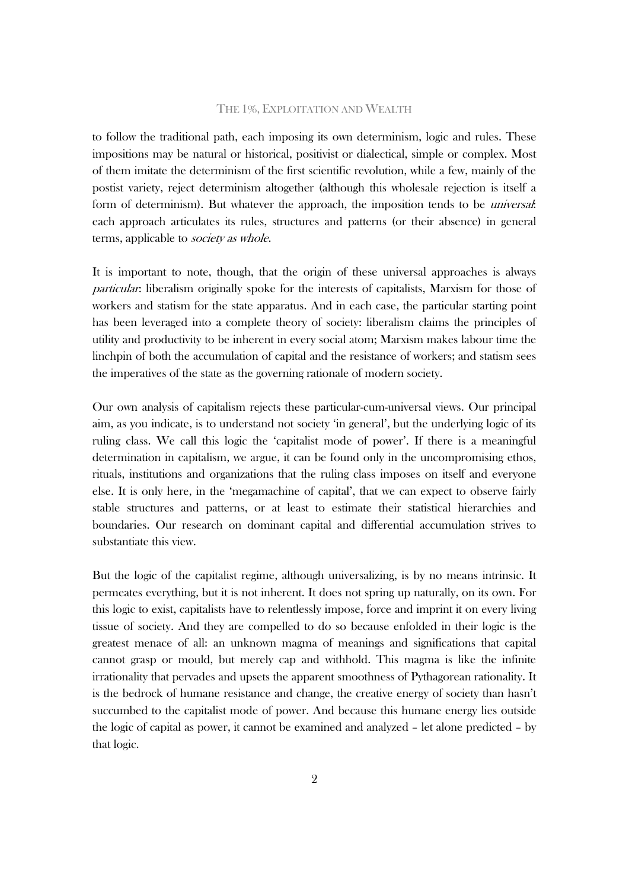to follow the traditional path, each imposing its own determinism, logic and rules. These impositions may be natural or historical, positivist or dialectical, simple or complex. Most of them imitate the determinism of the first scientific revolution, while a few, mainly of the postist variety, reject determinism altogether (although this wholesale rejection is itself a form of determinism). But whatever the approach, the imposition tends to be *universal*: each approach articulates its rules, structures and patterns (or their absence) in general terms, applicable to *society as whole*.

It is important to note, though, that the origin of these universal approaches is always particular: liberalism originally spoke for the interests of capitalists, Marxism for those of workers and statism for the state apparatus. And in each case, the particular starting point has been leveraged into a complete theory of society: liberalism claims the principles of utility and productivity to be inherent in every social atom; Marxism makes labour time the linchpin of both the accumulation of capital and the resistance of workers; and statism sees the imperatives of the state as the governing rationale of modern society.

Our own analysis of capitalism rejects these particular-cum-universal views. Our principal aim, as you indicate, is to understand not society 'in general', but the underlying logic of its ruling class. We call this logic the 'capitalist mode of power'. If there is a meaningful determination in capitalism, we argue, it can be found only in the uncompromising ethos, rituals, institutions and organizations that the ruling class imposes on itself and everyone else. It is only here, in the 'megamachine of capital', that we can expect to observe fairly stable structures and patterns, or at least to estimate their statistical hierarchies and boundaries. Our research on dominant capital and differential accumulation strives to substantiate this view.

But the logic of the capitalist regime, although universalizing, is by no means intrinsic. It permeates everything, but it is not inherent. It does not spring up naturally, on its own. For this logic to exist, capitalists have to relentlessly impose, force and imprint it on every living tissue of society. And they are compelled to do so because enfolded in their logic is the greatest menace of all: an unknown magma of meanings and significations that capital cannot grasp or mould, but merely cap and withhold. This magma is like the infinite irrationality that pervades and upsets the apparent smoothness of Pythagorean rationality. It is the bedrock of humane resistance and change, the creative energy of society than hasn't succumbed to the capitalist mode of power. And because this humane energy lies outside the logic of capital as power, it cannot be examined and analyzed – let alone predicted – by that logic.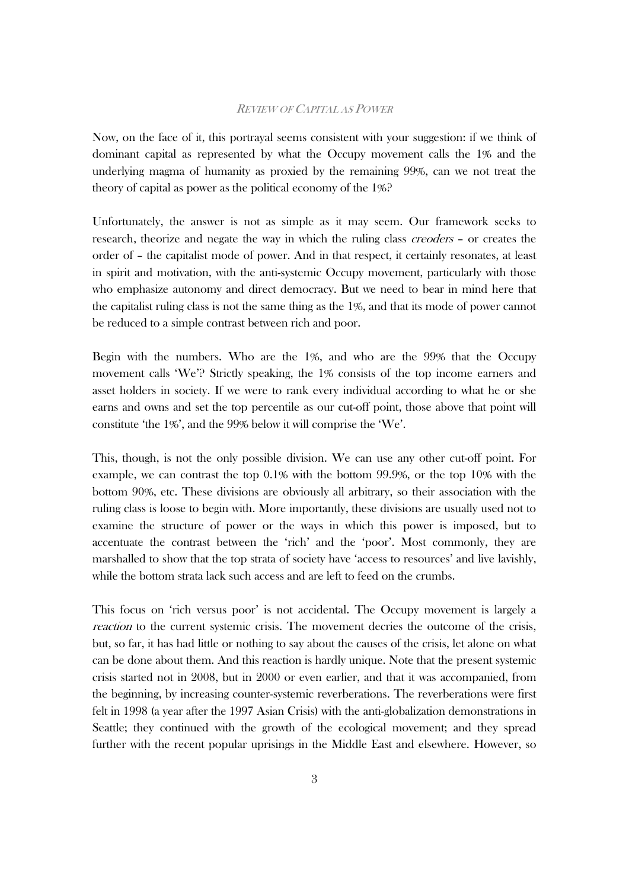Now, on the face of it, this portrayal seems consistent with your suggestion: if we think of dominant capital as represented by what the Occupy movement calls the 1% and the underlying magma of humanity as proxied by the remaining 99%, can we not treat the theory of capital as power as the political economy of the 1%?

Unfortunately, the answer is not as simple as it may seem. Our framework seeks to research, theorize and negate the way in which the ruling class *creoders* – or creates the order of – the capitalist mode of power. And in that respect, it certainly resonates, at least in spirit and motivation, with the anti-systemic Occupy movement, particularly with those who emphasize autonomy and direct democracy. But we need to bear in mind here that the capitalist ruling class is not the same thing as the 1%, and that its mode of power cannot be reduced to a simple contrast between rich and poor.

Begin with the numbers. Who are the 1%, and who are the 99% that the Occupy movement calls 'We'? Strictly speaking, the 1% consists of the top income earners and asset holders in society. If we were to rank every individual according to what he or she earns and owns and set the top percentile as our cut-off point, those above that point will constitute 'the 1%', and the 99% below it will comprise the 'We'.

This, though, is not the only possible division. We can use any other cut-off point. For example, we can contrast the top 0.1% with the bottom 99.9%, or the top 10% with the bottom 90%, etc. These divisions are obviously all arbitrary, so their association with the ruling class is loose to begin with. More importantly, these divisions are usually used not to examine the structure of power or the ways in which this power is imposed, but to accentuate the contrast between the 'rich' and the 'poor'. Most commonly, they are marshalled to show that the top strata of society have 'access to resources' and live lavishly, while the bottom strata lack such access and are left to feed on the crumbs.

This focus on 'rich versus poor' is not accidental. The Occupy movement is largely a reaction to the current systemic crisis. The movement decries the outcome of the crisis, but, so far, it has had little or nothing to say about the causes of the crisis, let alone on what can be done about them. And this reaction is hardly unique. Note that the present systemic crisis started not in 2008, but in 2000 or even earlier, and that it was accompanied, from the beginning, by increasing counter-systemic reverberations. The reverberations were first felt in 1998 (a year after the 1997 Asian Crisis) with the anti-globalization demonstrations in Seattle; they continued with the growth of the ecological movement; and they spread further with the recent popular uprisings in the Middle East and elsewhere. However, so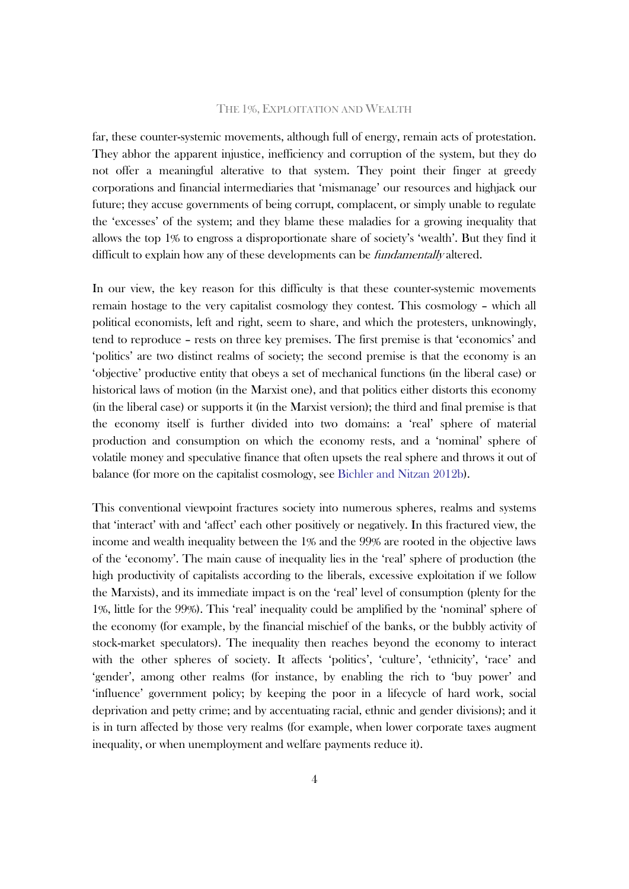far, these counter-systemic movements, although full of energy, remain acts of protestation. They abhor the apparent injustice, inefficiency and corruption of the system, but they do not offer a meaningful alterative to that system. They point their finger at greedy corporations and financial intermediaries that 'mismanage' our resources and highjack our future; they accuse governments of being corrupt, complacent, or simply unable to regulate the 'excesses' of the system; and they blame these maladies for a growing inequality that allows the top 1% to engross a disproportionate share of society's 'wealth'. But they find it difficult to explain how any of these developments can be *fundamentally* altered.

In our view, the key reason for this difficulty is that these counter-systemic movements remain hostage to the very capitalist cosmology they contest. This cosmology – which all political economists, left and right, seem to share, and which the protesters, unknowingly, tend to reproduce – rests on three key premises. The first premise is that 'economics' and 'politics' are two distinct realms of society; the second premise is that the economy is an 'objective' productive entity that obeys a set of mechanical functions (in the liberal case) or historical laws of motion (in the Marxist one), and that politics either distorts this economy (in the liberal case) or supports it (in the Marxist version); the third and final premise is that the economy itself is further divided into two domains: a 'real' sphere of material production and consumption on which the economy rests, and a 'nominal' sphere of volatile money and speculative finance that often upsets the real sphere and throws it out of balance (for more on the capitalist cosmology, see Bichler and Nitzan 2012b).

This conventional viewpoint fractures society into numerous spheres, realms and systems that 'interact' with and 'affect' each other positively or negatively. In this fractured view, the income and wealth inequality between the 1% and the 99% are rooted in the objective laws of the 'economy'. The main cause of inequality lies in the 'real' sphere of production (the high productivity of capitalists according to the liberals, excessive exploitation if we follow the Marxists), and its immediate impact is on the 'real' level of consumption (plenty for the 1%, little for the 99%). This 'real' inequality could be amplified by the 'nominal' sphere of the economy (for example, by the financial mischief of the banks, or the bubbly activity of stock-market speculators). The inequality then reaches beyond the economy to interact with the other spheres of society. It affects 'politics', 'culture', 'ethnicity', 'race' and 'gender', among other realms (for instance, by enabling the rich to 'buy power' and 'influence' government policy; by keeping the poor in a lifecycle of hard work, social deprivation and petty crime; and by accentuating racial, ethnic and gender divisions); and it is in turn affected by those very realms (for example, when lower corporate taxes augment inequality, or when unemployment and welfare payments reduce it).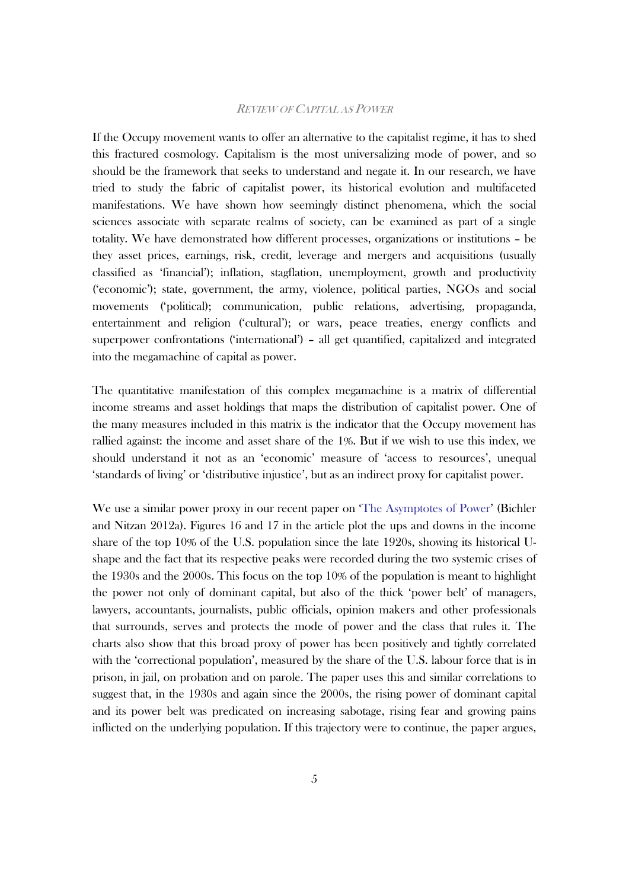If the Occupy movement wants to offer an alternative to the capitalist regime, it has to shed this fractured cosmology. Capitalism is the most universalizing mode of power, and so should be the framework that seeks to understand and negate it. In our research, we have tried to study the fabric of capitalist power, its historical evolution and multifaceted manifestations. We have shown how seemingly distinct phenomena, which the social sciences associate with separate realms of society, can be examined as part of a single totality. We have demonstrated how different processes, organizations or institutions – be they asset prices, earnings, risk, credit, leverage and mergers and acquisitions (usually classified as 'financial'); inflation, stagflation, unemployment, growth and productivity ('economic'); state, government, the army, violence, political parties, NGOs and social movements ('political); communication, public relations, advertising, propaganda, entertainment and religion ('cultural'); or wars, peace treaties, energy conflicts and superpower confrontations ('international') – all get quantified, capitalized and integrated into the megamachine of capital as power.

The quantitative manifestation of this complex megamachine is a matrix of differential income streams and asset holdings that maps the distribution of capitalist power. One of the many measures included in this matrix is the indicator that the Occupy movement has rallied against: the income and asset share of the 1%. But if we wish to use this index, we should understand it not as an 'economic' measure of 'access to resources', unequal 'standards of living' or 'distributive injustice', but as an indirect proxy for capitalist power.

We use a similar power proxy in our recent paper on 'The Asymptotes of Power' (Bichler and Nitzan 2012a). Figures 16 and 17 in the article plot the ups and downs in the income share of the top 10% of the U.S. population since the late 1920s, showing its historical Ushape and the fact that its respective peaks were recorded during the two systemic crises of the 1930s and the 2000s. This focus on the top 10% of the population is meant to highlight the power not only of dominant capital, but also of the thick 'power belt' of managers, lawyers, accountants, journalists, public officials, opinion makers and other professionals that surrounds, serves and protects the mode of power and the class that rules it. The charts also show that this broad proxy of power has been positively and tightly correlated with the 'correctional population', measured by the share of the U.S. labour force that is in prison, in jail, on probation and on parole. The paper uses this and similar correlations to suggest that, in the 1930s and again since the 2000s, the rising power of dominant capital and its power belt was predicated on increasing sabotage, rising fear and growing pains inflicted on the underlying population. If this trajectory were to continue, the paper argues,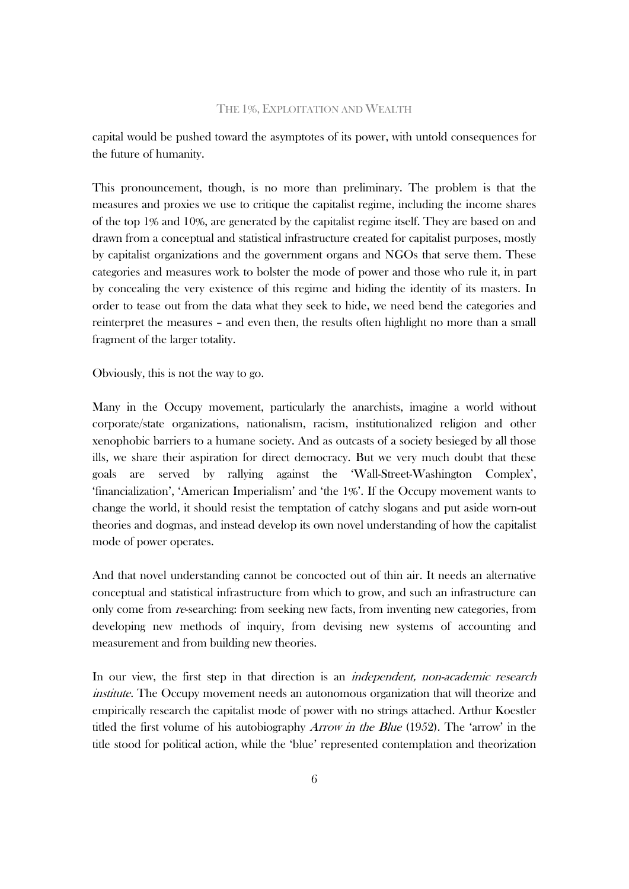capital would be pushed toward the asymptotes of its power, with untold consequences for the future of humanity.

This pronouncement, though, is no more than preliminary. The problem is that the measures and proxies we use to critique the capitalist regime, including the income shares of the top 1% and 10%, are generated by the capitalist regime itself. They are based on and drawn from a conceptual and statistical infrastructure created for capitalist purposes, mostly by capitalist organizations and the government organs and NGOs that serve them. These categories and measures work to bolster the mode of power and those who rule it, in part by concealing the very existence of this regime and hiding the identity of its masters. In order to tease out from the data what they seek to hide, we need bend the categories and reinterpret the measures – and even then, the results often highlight no more than a small fragment of the larger totality.

Obviously, this is not the way to go.

Many in the Occupy movement, particularly the anarchists, imagine a world without corporate/state organizations, nationalism, racism, institutionalized religion and other xenophobic barriers to a humane society. And as outcasts of a society besieged by all those ills, we share their aspiration for direct democracy. But we very much doubt that these goals are served by rallying against the 'Wall-Street-Washington Complex', 'financialization', 'American Imperialism' and 'the 1%'. If the Occupy movement wants to change the world, it should resist the temptation of catchy slogans and put aside worn-out theories and dogmas, and instead develop its own novel understanding of how the capitalist mode of power operates.

And that novel understanding cannot be concocted out of thin air. It needs an alternative conceptual and statistical infrastructure from which to grow, and such an infrastructure can only come from re-searching: from seeking new facts, from inventing new categories, from developing new methods of inquiry, from devising new systems of accounting and measurement and from building new theories.

In our view, the first step in that direction is an *independent*, non-academic research institute. The Occupy movement needs an autonomous organization that will theorize and empirically research the capitalist mode of power with no strings attached. Arthur Koestler titled the first volume of his autobiography *Arrow in the Blue* (1952). The 'arrow' in the title stood for political action, while the 'blue' represented contemplation and theorization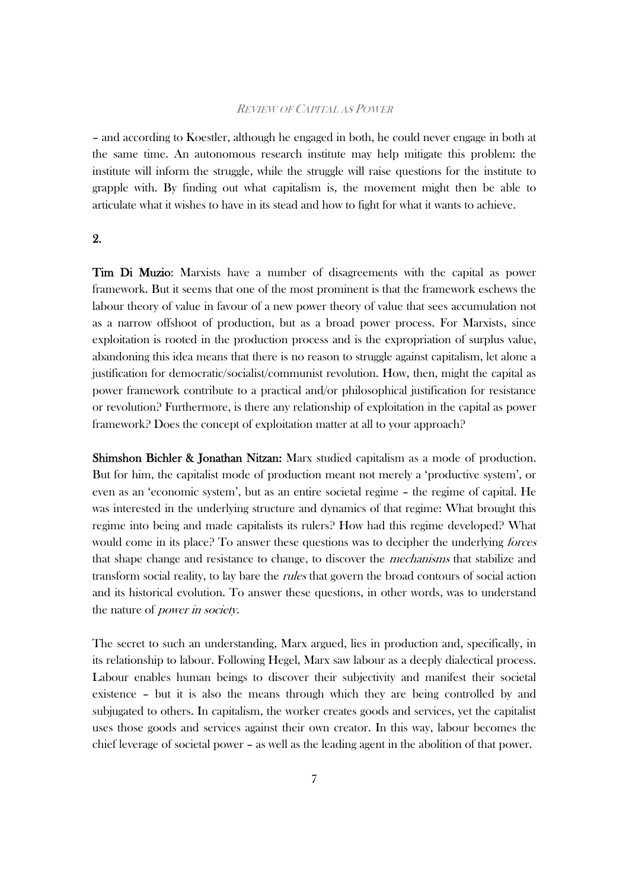– and according to Koestler, although he engaged in both, he could never engage in both at the same time. An autonomous research institute may help mitigate this problem: the institute will inform the struggle, while the struggle will raise questions for the institute to grapple with. By finding out what capitalism is, the movement might then be able to articulate what it wishes to have in its stead and how to fight for what it wants to achieve.

## 2.

Tim Di Muzio: Marxists have a number of disagreements with the capital as power framework. But it seems that one of the most prominent is that the framework eschews the labour theory of value in favour of a new power theory of value that sees accumulation not as a narrow offshoot of production, but as a broad power process. For Marxists, since exploitation is rooted in the production process and is the expropriation of surplus value, abandoning this idea means that there is no reason to struggle against capitalism, let alone a justification for democratic/socialist/communist revolution. How, then, might the capital as power framework contribute to a practical and/or philosophical justification for resistance or revolution? Furthermore, is there any relationship of exploitation in the capital as power framework? Does the concept of exploitation matter at all to your approach?

Shimshon Bichler & Jonathan Nitzan: Marx studied capitalism as a mode of production. But for him, the capitalist mode of production meant not merely a 'productive system', or even as an 'economic system', but as an entire societal regime – the regime of capital. He was interested in the underlying structure and dynamics of that regime: What brought this regime into being and made capitalists its rulers? How had this regime developed? What would come in its place? To answer these questions was to decipher the underlying *forces* that shape change and resistance to change, to discover the *mechanisms* that stabilize and transform social reality, to lay bare the rules that govern the broad contours of social action and its historical evolution. To answer these questions, in other words, was to understand the nature of *power in society*.

The secret to such an understanding, Marx argued, lies in production and, specifically, in its relationship to labour. Following Hegel, Marx saw labour as a deeply dialectical process. Labour enables human beings to discover their subjectivity and manifest their societal existence – but it is also the means through which they are being controlled by and subjugated to others. In capitalism, the worker creates goods and services, yet the capitalist uses those goods and services against their own creator. In this way, labour becomes the chief leverage of societal power – as well as the leading agent in the abolition of that power.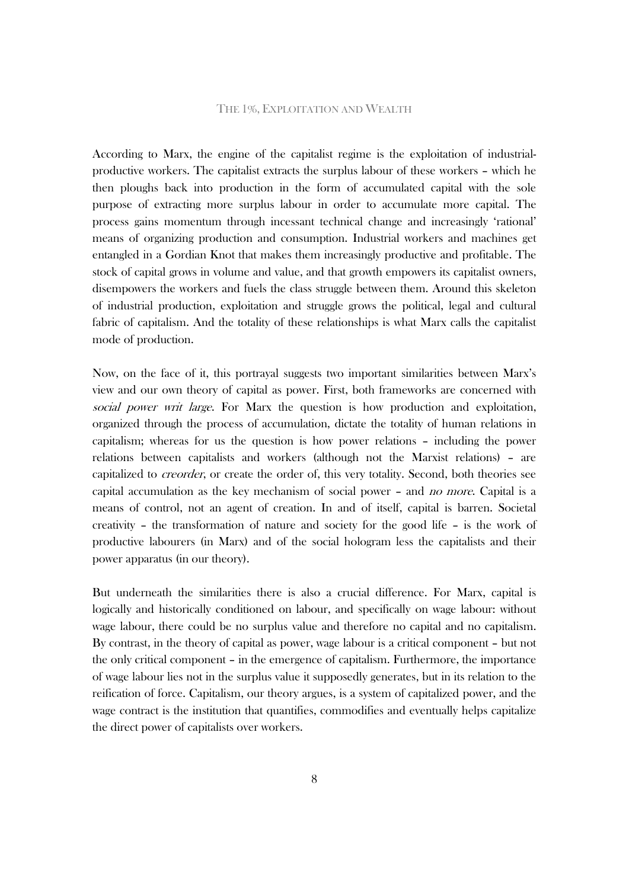According to Marx, the engine of the capitalist regime is the exploitation of industrialproductive workers. The capitalist extracts the surplus labour of these workers – which he then ploughs back into production in the form of accumulated capital with the sole purpose of extracting more surplus labour in order to accumulate more capital. The process gains momentum through incessant technical change and increasingly 'rational' means of organizing production and consumption. Industrial workers and machines get entangled in a Gordian Knot that makes them increasingly productive and profitable. The stock of capital grows in volume and value, and that growth empowers its capitalist owners, disempowers the workers and fuels the class struggle between them. Around this skeleton of industrial production, exploitation and struggle grows the political, legal and cultural fabric of capitalism. And the totality of these relationships is what Marx calls the capitalist mode of production.

Now, on the face of it, this portrayal suggests two important similarities between Marx's view and our own theory of capital as power. First, both frameworks are concerned with social power writ large. For Marx the question is how production and exploitation, organized through the process of accumulation, dictate the totality of human relations in capitalism; whereas for us the question is how power relations – including the power relations between capitalists and workers (although not the Marxist relations) – are capitalized to creorder, or create the order of, this very totality. Second, both theories see capital accumulation as the key mechanism of social power – and no more. Capital is a means of control, not an agent of creation. In and of itself, capital is barren. Societal creativity – the transformation of nature and society for the good life – is the work of productive labourers (in Marx) and of the social hologram less the capitalists and their power apparatus (in our theory).

But underneath the similarities there is also a crucial difference. For Marx, capital is logically and historically conditioned on labour, and specifically on wage labour: without wage labour, there could be no surplus value and therefore no capital and no capitalism. By contrast, in the theory of capital as power, wage labour is a critical component – but not the only critical component – in the emergence of capitalism. Furthermore, the importance of wage labour lies not in the surplus value it supposedly generates, but in its relation to the reification of force. Capitalism, our theory argues, is a system of capitalized power, and the wage contract is the institution that quantifies, commodifies and eventually helps capitalize the direct power of capitalists over workers.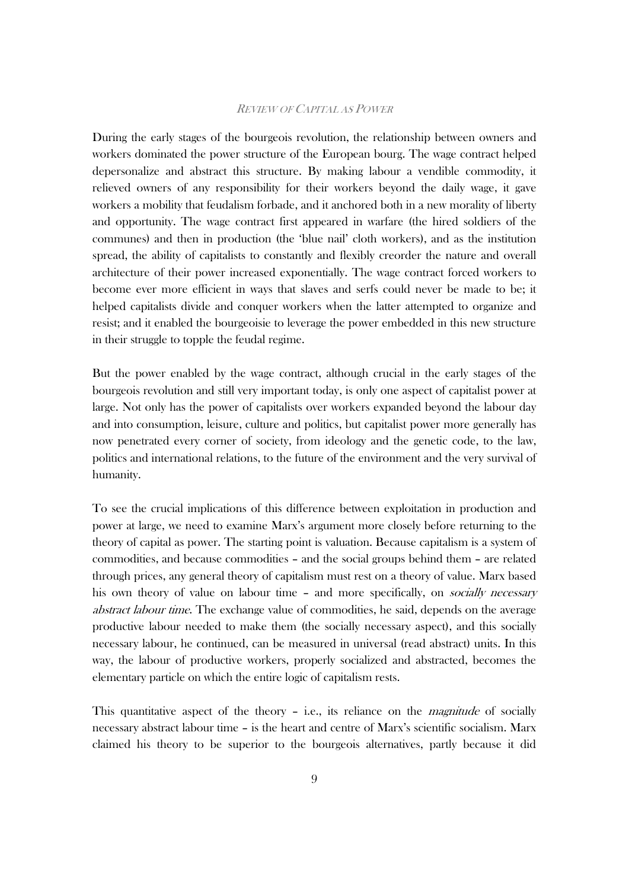During the early stages of the bourgeois revolution, the relationship between owners and workers dominated the power structure of the European bourg. The wage contract helped depersonalize and abstract this structure. By making labour a vendible commodity, it relieved owners of any responsibility for their workers beyond the daily wage, it gave workers a mobility that feudalism forbade, and it anchored both in a new morality of liberty and opportunity. The wage contract first appeared in warfare (the hired soldiers of the communes) and then in production (the 'blue nail' cloth workers), and as the institution spread, the ability of capitalists to constantly and flexibly creorder the nature and overall architecture of their power increased exponentially. The wage contract forced workers to become ever more efficient in ways that slaves and serfs could never be made to be; it helped capitalists divide and conquer workers when the latter attempted to organize and resist; and it enabled the bourgeoisie to leverage the power embedded in this new structure in their struggle to topple the feudal regime.

But the power enabled by the wage contract, although crucial in the early stages of the bourgeois revolution and still very important today, is only one aspect of capitalist power at large. Not only has the power of capitalists over workers expanded beyond the labour day and into consumption, leisure, culture and politics, but capitalist power more generally has now penetrated every corner of society, from ideology and the genetic code, to the law, politics and international relations, to the future of the environment and the very survival of humanity.

To see the crucial implications of this difference between exploitation in production and power at large, we need to examine Marx's argument more closely before returning to the theory of capital as power. The starting point is valuation. Because capitalism is a system of commodities, and because commodities – and the social groups behind them – are related through prices, any general theory of capitalism must rest on a theory of value. Marx based his own theory of value on labour time - and more specifically, on *socially necessary* abstract labour time. The exchange value of commodities, he said, depends on the average productive labour needed to make them (the socially necessary aspect), and this socially necessary labour, he continued, can be measured in universal (read abstract) units. In this way, the labour of productive workers, properly socialized and abstracted, becomes the elementary particle on which the entire logic of capitalism rests.

This quantitative aspect of the theory – i.e., its reliance on the *magnitude* of socially necessary abstract labour time – is the heart and centre of Marx's scientific socialism. Marx claimed his theory to be superior to the bourgeois alternatives, partly because it did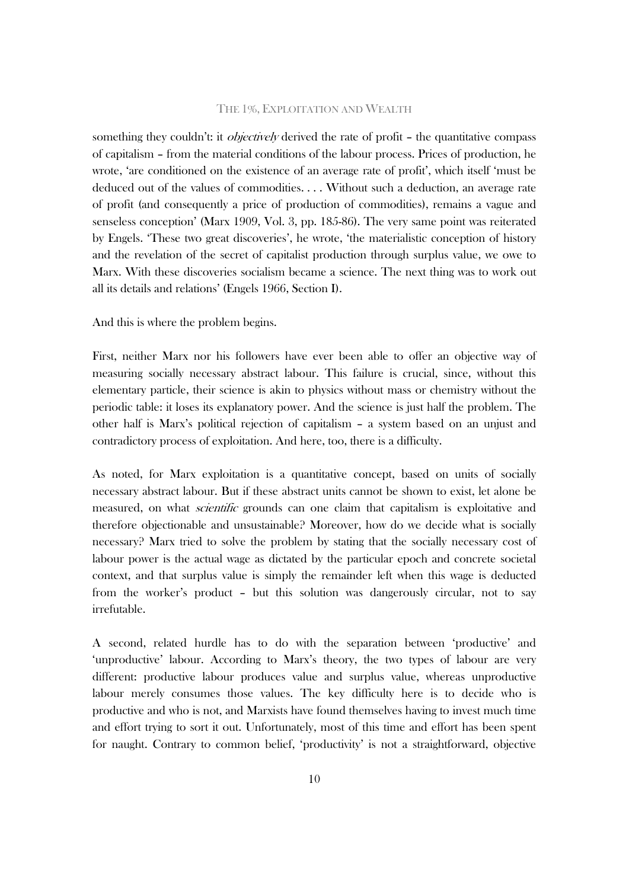something they couldn't: it *objectively* derived the rate of profit – the quantitative compass of capitalism – from the material conditions of the labour process. Prices of production, he wrote, 'are conditioned on the existence of an average rate of profit', which itself 'must be deduced out of the values of commodities. . . . Without such a deduction, an average rate of profit (and consequently a price of production of commodities), remains a vague and senseless conception' (Marx 1909, Vol. 3, pp. 185-86). The very same point was reiterated by Engels. 'These two great discoveries', he wrote, 'the materialistic conception of history and the revelation of the secret of capitalist production through surplus value, we owe to Marx. With these discoveries socialism became a science. The next thing was to work out all its details and relations' (Engels 1966, Section I).

And this is where the problem begins.

First, neither Marx nor his followers have ever been able to offer an objective way of measuring socially necessary abstract labour. This failure is crucial, since, without this elementary particle, their science is akin to physics without mass or chemistry without the periodic table: it loses its explanatory power. And the science is just half the problem. The other half is Marx's political rejection of capitalism – a system based on an unjust and contradictory process of exploitation. And here, too, there is a difficulty.

As noted, for Marx exploitation is a quantitative concept, based on units of socially necessary abstract labour. But if these abstract units cannot be shown to exist, let alone be measured, on what *scientific* grounds can one claim that capitalism is exploitative and therefore objectionable and unsustainable? Moreover, how do we decide what is socially necessary? Marx tried to solve the problem by stating that the socially necessary cost of labour power is the actual wage as dictated by the particular epoch and concrete societal context, and that surplus value is simply the remainder left when this wage is deducted from the worker's product – but this solution was dangerously circular, not to say irrefutable.

A second, related hurdle has to do with the separation between 'productive' and 'unproductive' labour. According to Marx's theory, the two types of labour are very different: productive labour produces value and surplus value, whereas unproductive labour merely consumes those values. The key difficulty here is to decide who is productive and who is not, and Marxists have found themselves having to invest much time and effort trying to sort it out. Unfortunately, most of this time and effort has been spent for naught. Contrary to common belief, 'productivity' is not a straightforward, objective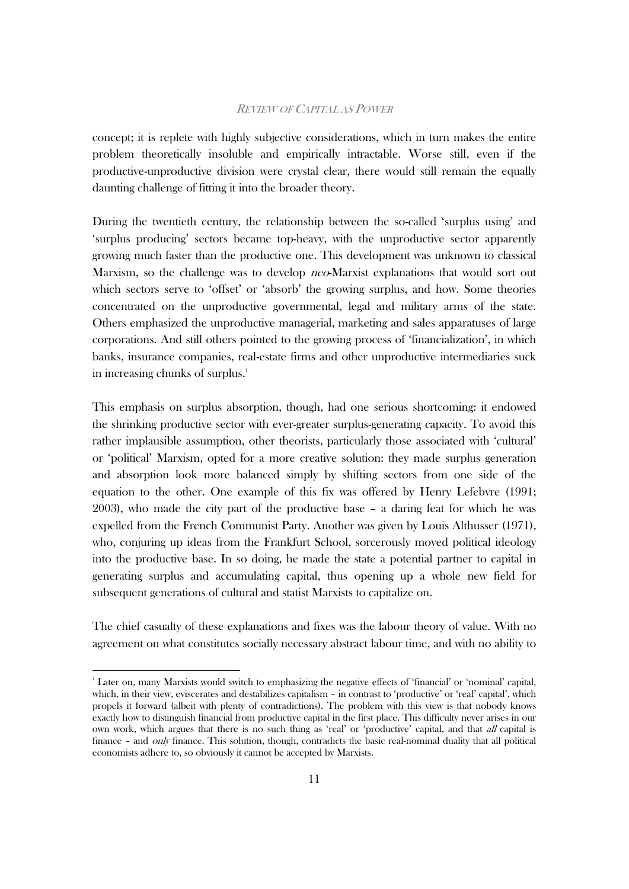concept; it is replete with highly subjective considerations, which in turn makes the entire problem theoretically insoluble and empirically intractable. Worse still, even if the productive-unproductive division were crystal clear, there would still remain the equally daunting challenge of fitting it into the broader theory.

During the twentieth century, the relationship between the so-called 'surplus using' and 'surplus producing' sectors became top-heavy, with the unproductive sector apparently growing much faster than the productive one. This development was unknown to classical Marxism, so the challenge was to develop *neo*-Marxist explanations that would sort out which sectors serve to 'offset' or 'absorb' the growing surplus, and how. Some theories concentrated on the unproductive governmental, legal and military arms of the state. Others emphasized the unproductive managerial, marketing and sales apparatuses of large corporations. And still others pointed to the growing process of 'financialization', in which banks, insurance companies, real-estate firms and other unproductive intermediaries suck in increasing chunks of surplus.<sup>1</sup>

This emphasis on surplus absorption, though, had one serious shortcoming: it endowed the shrinking productive sector with ever-greater surplus-generating capacity. To avoid this rather implausible assumption, other theorists, particularly those associated with 'cultural' or 'political' Marxism, opted for a more creative solution: they made surplus generation and absorption look more balanced simply by shifting sectors from one side of the equation to the other. One example of this fix was offered by Henry Lefebvre (1991; 2003), who made the city part of the productive base – a daring feat for which he was expelled from the French Communist Party. Another was given by Louis Althusser (1971), who, conjuring up ideas from the Frankfurt School, sorcerously moved political ideology into the productive base. In so doing, he made the state a potential partner to capital in generating surplus and accumulating capital, thus opening up a whole new field for subsequent generations of cultural and statist Marxists to capitalize on.

The chief casualty of these explanations and fixes was the labour theory of value. With no agreement on what constitutes socially necessary abstract labour time, and with no ability to

 $\overline{a}$ 

<sup>1</sup> Later on, many Marxists would switch to emphasizing the negative effects of 'financial' or 'nominal' capital, which, in their view, eviscerates and destabilizes capitalism – in contrast to 'productive' or 'real' capital', which propels it forward (albeit with plenty of contradictions). The problem with this view is that nobody knows exactly how to distinguish financial from productive capital in the first place. This difficulty never arises in our own work, which argues that there is no such thing as 'real' or 'productive' capital, and that all capital is finance – and *only* finance. This solution, though, contradicts the basic real-nominal duality that all political economists adhere to, so obviously it cannot be accepted by Marxists.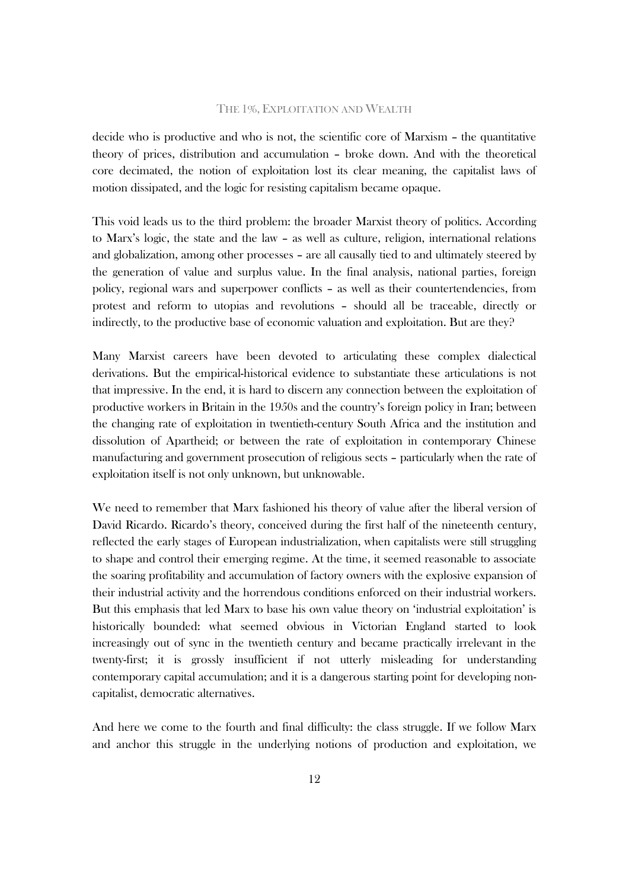decide who is productive and who is not, the scientific core of Marxism – the quantitative theory of prices, distribution and accumulation – broke down. And with the theoretical core decimated, the notion of exploitation lost its clear meaning, the capitalist laws of motion dissipated, and the logic for resisting capitalism became opaque.

This void leads us to the third problem: the broader Marxist theory of politics. According to Marx's logic, the state and the law – as well as culture, religion, international relations and globalization, among other processes – are all causally tied to and ultimately steered by the generation of value and surplus value. In the final analysis, national parties, foreign policy, regional wars and superpower conflicts – as well as their countertendencies, from protest and reform to utopias and revolutions – should all be traceable, directly or indirectly, to the productive base of economic valuation and exploitation. But are they?

Many Marxist careers have been devoted to articulating these complex dialectical derivations. But the empirical-historical evidence to substantiate these articulations is not that impressive. In the end, it is hard to discern any connection between the exploitation of productive workers in Britain in the 1950s and the country's foreign policy in Iran; between the changing rate of exploitation in twentieth-century South Africa and the institution and dissolution of Apartheid; or between the rate of exploitation in contemporary Chinese manufacturing and government prosecution of religious sects – particularly when the rate of exploitation itself is not only unknown, but unknowable.

We need to remember that Marx fashioned his theory of value after the liberal version of David Ricardo. Ricardo's theory, conceived during the first half of the nineteenth century, reflected the early stages of European industrialization, when capitalists were still struggling to shape and control their emerging regime. At the time, it seemed reasonable to associate the soaring profitability and accumulation of factory owners with the explosive expansion of their industrial activity and the horrendous conditions enforced on their industrial workers. But this emphasis that led Marx to base his own value theory on 'industrial exploitation' is historically bounded: what seemed obvious in Victorian England started to look increasingly out of sync in the twentieth century and became practically irrelevant in the twenty-first; it is grossly insufficient if not utterly misleading for understanding contemporary capital accumulation; and it is a dangerous starting point for developing noncapitalist, democratic alternatives.

And here we come to the fourth and final difficulty: the class struggle. If we follow Marx and anchor this struggle in the underlying notions of production and exploitation, we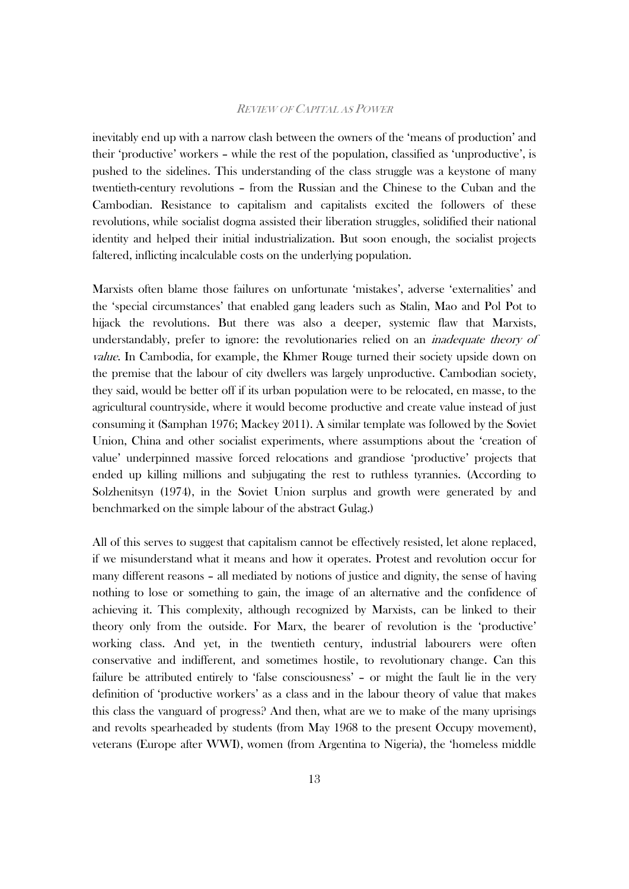inevitably end up with a narrow clash between the owners of the 'means of production' and their 'productive' workers – while the rest of the population, classified as 'unproductive', is pushed to the sidelines. This understanding of the class struggle was a keystone of many twentieth-century revolutions – from the Russian and the Chinese to the Cuban and the Cambodian. Resistance to capitalism and capitalists excited the followers of these revolutions, while socialist dogma assisted their liberation struggles, solidified their national identity and helped their initial industrialization. But soon enough, the socialist projects faltered, inflicting incalculable costs on the underlying population.

Marxists often blame those failures on unfortunate 'mistakes', adverse 'externalities' and the 'special circumstances' that enabled gang leaders such as Stalin, Mao and Pol Pot to hijack the revolutions. But there was also a deeper, systemic flaw that Marxists, understandably, prefer to ignore: the revolutionaries relied on an *inadequate theory of* value. In Cambodia, for example, the Khmer Rouge turned their society upside down on the premise that the labour of city dwellers was largely unproductive. Cambodian society, they said, would be better off if its urban population were to be relocated, en masse, to the agricultural countryside, where it would become productive and create value instead of just consuming it (Samphan 1976; Mackey 2011). A similar template was followed by the Soviet Union, China and other socialist experiments, where assumptions about the 'creation of value' underpinned massive forced relocations and grandiose 'productive' projects that ended up killing millions and subjugating the rest to ruthless tyrannies. (According to Solzhenitsyn (1974), in the Soviet Union surplus and growth were generated by and benchmarked on the simple labour of the abstract Gulag.)

All of this serves to suggest that capitalism cannot be effectively resisted, let alone replaced, if we misunderstand what it means and how it operates. Protest and revolution occur for many different reasons – all mediated by notions of justice and dignity, the sense of having nothing to lose or something to gain, the image of an alternative and the confidence of achieving it. This complexity, although recognized by Marxists, can be linked to their theory only from the outside. For Marx, the bearer of revolution is the 'productive' working class. And yet, in the twentieth century, industrial labourers were often conservative and indifferent, and sometimes hostile, to revolutionary change. Can this failure be attributed entirely to 'false consciousness' – or might the fault lie in the very definition of 'productive workers' as a class and in the labour theory of value that makes this class the vanguard of progress? And then, what are we to make of the many uprisings and revolts spearheaded by students (from May 1968 to the present Occupy movement), veterans (Europe after WWI), women (from Argentina to Nigeria), the 'homeless middle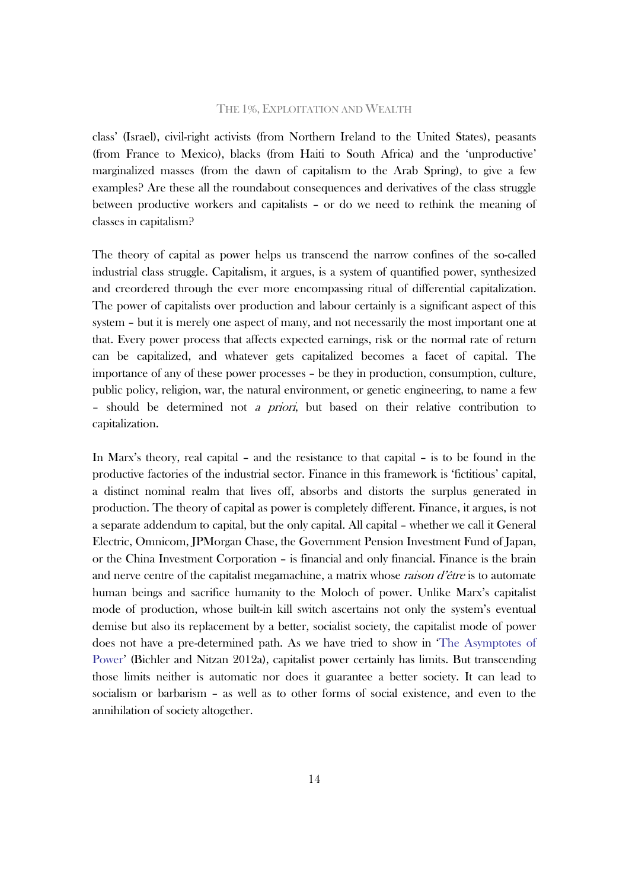class' (Israel), civil-right activists (from Northern Ireland to the United States), peasants (from France to Mexico), blacks (from Haiti to South Africa) and the 'unproductive' marginalized masses (from the dawn of capitalism to the Arab Spring), to give a few examples? Are these all the roundabout consequences and derivatives of the class struggle between productive workers and capitalists – or do we need to rethink the meaning of classes in capitalism?

The theory of capital as power helps us transcend the narrow confines of the so-called industrial class struggle. Capitalism, it argues, is a system of quantified power, synthesized and creordered through the ever more encompassing ritual of differential capitalization. The power of capitalists over production and labour certainly is a significant aspect of this system – but it is merely one aspect of many, and not necessarily the most important one at that. Every power process that affects expected earnings, risk or the normal rate of return can be capitalized, and whatever gets capitalized becomes a facet of capital. The importance of any of these power processes – be they in production, consumption, culture, public policy, religion, war, the natural environment, or genetic engineering, to name a few – should be determined not a priori, but based on their relative contribution to capitalization.

In Marx's theory, real capital – and the resistance to that capital – is to be found in the productive factories of the industrial sector. Finance in this framework is 'fictitious' capital, a distinct nominal realm that lives off, absorbs and distorts the surplus generated in production. The theory of capital as power is completely different. Finance, it argues, is not a separate addendum to capital, but the only capital. All capital – whether we call it General Electric, Omnicom, JPMorgan Chase, the Government Pension Investment Fund of Japan, or the China Investment Corporation – is financial and only financial. Finance is the brain and nerve centre of the capitalist megamachine, a matrix whose *raison d'être* is to automate human beings and sacrifice humanity to the Moloch of power. Unlike Marx's capitalist mode of production, whose built-in kill switch ascertains not only the system's eventual demise but also its replacement by a better, socialist society, the capitalist mode of power does not have a pre-determined path. As we have tried to show in 'The Asymptotes of Power' (Bichler and Nitzan 2012a), capitalist power certainly has limits. But transcending those limits neither is automatic nor does it guarantee a better society. It can lead to socialism or barbarism – as well as to other forms of social existence, and even to the annihilation of society altogether.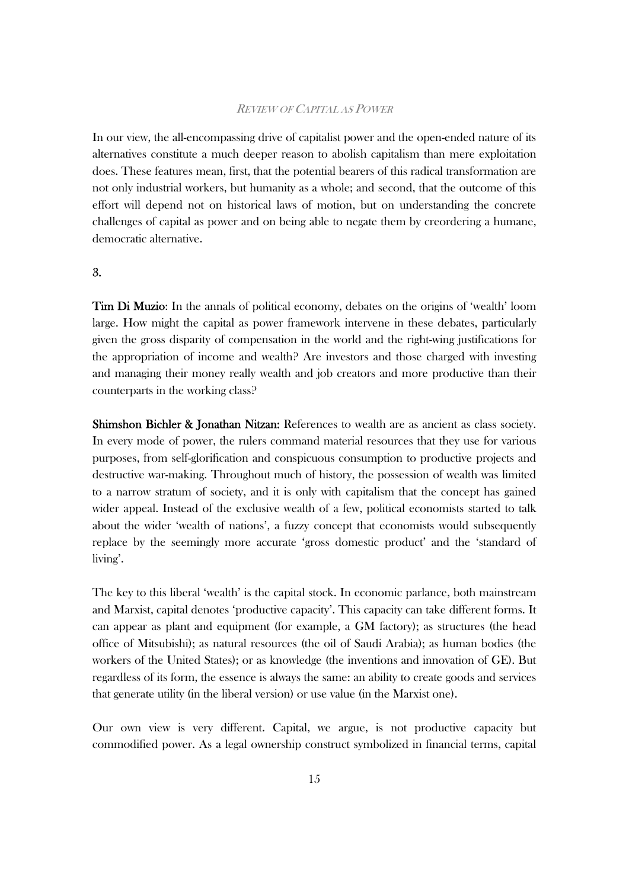In our view, the all-encompassing drive of capitalist power and the open-ended nature of its alternatives constitute a much deeper reason to abolish capitalism than mere exploitation does. These features mean, first, that the potential bearers of this radical transformation are not only industrial workers, but humanity as a whole; and second, that the outcome of this effort will depend not on historical laws of motion, but on understanding the concrete challenges of capital as power and on being able to negate them by creordering a humane, democratic alternative.

## 3.

Tim Di Muzio: In the annals of political economy, debates on the origins of 'wealth' loom large. How might the capital as power framework intervene in these debates, particularly given the gross disparity of compensation in the world and the right-wing justifications for the appropriation of income and wealth? Are investors and those charged with investing and managing their money really wealth and job creators and more productive than their counterparts in the working class?

Shimshon Bichler & Jonathan Nitzan: References to wealth are as ancient as class society. In every mode of power, the rulers command material resources that they use for various purposes, from self-glorification and conspicuous consumption to productive projects and destructive war-making. Throughout much of history, the possession of wealth was limited to a narrow stratum of society, and it is only with capitalism that the concept has gained wider appeal. Instead of the exclusive wealth of a few, political economists started to talk about the wider 'wealth of nations', a fuzzy concept that economists would subsequently replace by the seemingly more accurate 'gross domestic product' and the 'standard of living'.

The key to this liberal 'wealth' is the capital stock. In economic parlance, both mainstream and Marxist, capital denotes 'productive capacity'. This capacity can take different forms. It can appear as plant and equipment (for example, a GM factory); as structures (the head office of Mitsubishi); as natural resources (the oil of Saudi Arabia); as human bodies (the workers of the United States); or as knowledge (the inventions and innovation of GE). But regardless of its form, the essence is always the same: an ability to create goods and services that generate utility (in the liberal version) or use value (in the Marxist one).

Our own view is very different. Capital, we argue, is not productive capacity but commodified power. As a legal ownership construct symbolized in financial terms, capital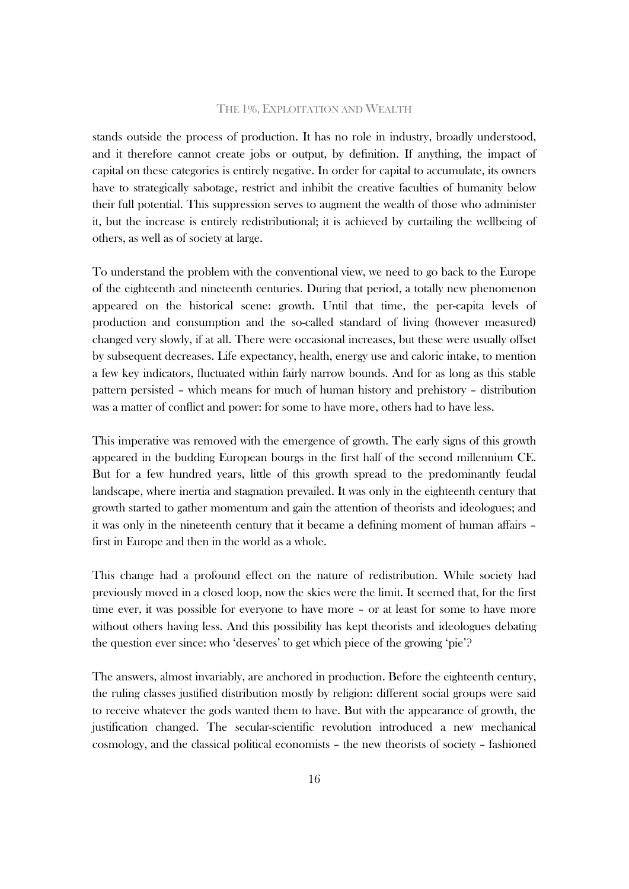stands outside the process of production. It has no role in industry, broadly understood, and it therefore cannot create jobs or output, by definition. If anything, the impact of capital on these categories is entirely negative. In order for capital to accumulate, its owners have to strategically sabotage, restrict and inhibit the creative faculties of humanity below their full potential. This suppression serves to augment the wealth of those who administer it, but the increase is entirely redistributional; it is achieved by curtailing the wellbeing of others, as well as of society at large.

To understand the problem with the conventional view, we need to go back to the Europe of the eighteenth and nineteenth centuries. During that period, a totally new phenomenon appeared on the historical scene: growth. Until that time, the per-capita levels of production and consumption and the so-called standard of living (however measured) changed very slowly, if at all. There were occasional increases, but these were usually offset by subsequent decreases. Life expectancy, health, energy use and caloric intake, to mention a few key indicators, fluctuated within fairly narrow bounds. And for as long as this stable pattern persisted – which means for much of human history and prehistory – distribution was a matter of conflict and power: for some to have more, others had to have less.

This imperative was removed with the emergence of growth. The early signs of this growth appeared in the budding European bourgs in the first half of the second millennium CE. But for a few hundred years, little of this growth spread to the predominantly feudal landscape, where inertia and stagnation prevailed. It was only in the eighteenth century that growth started to gather momentum and gain the attention of theorists and ideologues; and it was only in the nineteenth century that it became a defining moment of human affairs – first in Europe and then in the world as a whole.

This change had a profound effect on the nature of redistribution. While society had previously moved in a closed loop, now the skies were the limit. It seemed that, for the first time ever, it was possible for everyone to have more – or at least for some to have more without others having less. And this possibility has kept theorists and ideologues debating the question ever since: who 'deserves' to get which piece of the growing 'pie'?

The answers, almost invariably, are anchored in production. Before the eighteenth century, the ruling classes justified distribution mostly by religion: different social groups were said to receive whatever the gods wanted them to have. But with the appearance of growth, the justification changed. The secular-scientific revolution introduced a new mechanical cosmology, and the classical political economists – the new theorists of society – fashioned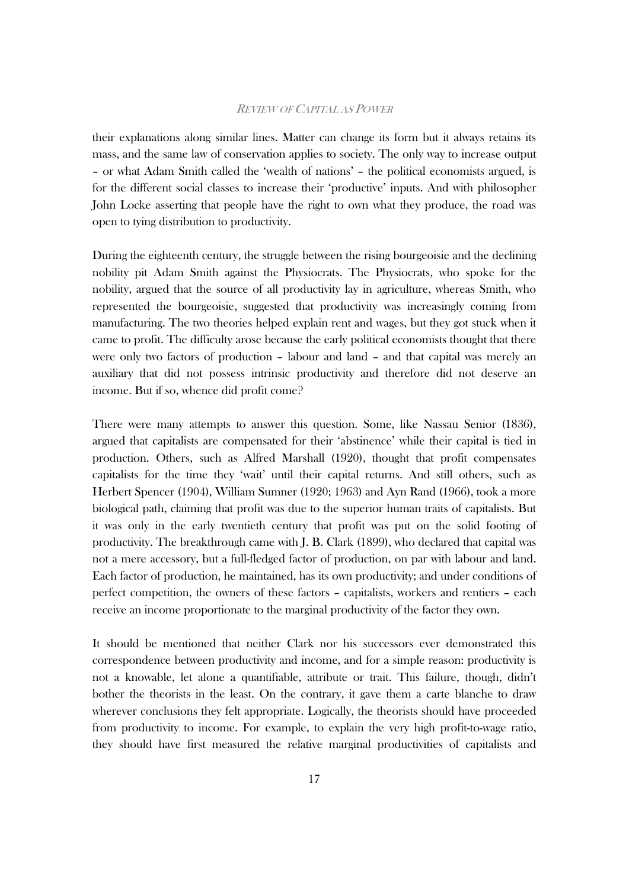their explanations along similar lines. Matter can change its form but it always retains its mass, and the same law of conservation applies to society. The only way to increase output – or what Adam Smith called the 'wealth of nations' – the political economists argued, is for the different social classes to increase their 'productive' inputs. And with philosopher John Locke asserting that people have the right to own what they produce, the road was open to tying distribution to productivity.

During the eighteenth century, the struggle between the rising bourgeoisie and the declining nobility pit Adam Smith against the Physiocrats. The Physiocrats, who spoke for the nobility, argued that the source of all productivity lay in agriculture, whereas Smith, who represented the bourgeoisie, suggested that productivity was increasingly coming from manufacturing. The two theories helped explain rent and wages, but they got stuck when it came to profit. The difficulty arose because the early political economists thought that there were only two factors of production – labour and land – and that capital was merely an auxiliary that did not possess intrinsic productivity and therefore did not deserve an income. But if so, whence did profit come?

There were many attempts to answer this question. Some, like Nassau Senior (1836), argued that capitalists are compensated for their 'abstinence' while their capital is tied in production. Others, such as Alfred Marshall (1920), thought that profit compensates capitalists for the time they 'wait' until their capital returns. And still others, such as Herbert Spencer (1904), William Sumner (1920; 1963) and Ayn Rand (1966), took a more biological path, claiming that profit was due to the superior human traits of capitalists. But it was only in the early twentieth century that profit was put on the solid footing of productivity. The breakthrough came with J. B. Clark (1899), who declared that capital was not a mere accessory, but a full-fledged factor of production, on par with labour and land. Each factor of production, he maintained, has its own productivity; and under conditions of perfect competition, the owners of these factors – capitalists, workers and rentiers – each receive an income proportionate to the marginal productivity of the factor they own.

It should be mentioned that neither Clark nor his successors ever demonstrated this correspondence between productivity and income, and for a simple reason: productivity is not a knowable, let alone a quantifiable, attribute or trait. This failure, though, didn't bother the theorists in the least. On the contrary, it gave them a carte blanche to draw wherever conclusions they felt appropriate. Logically, the theorists should have proceeded from productivity to income. For example, to explain the very high profit-to-wage ratio, they should have first measured the relative marginal productivities of capitalists and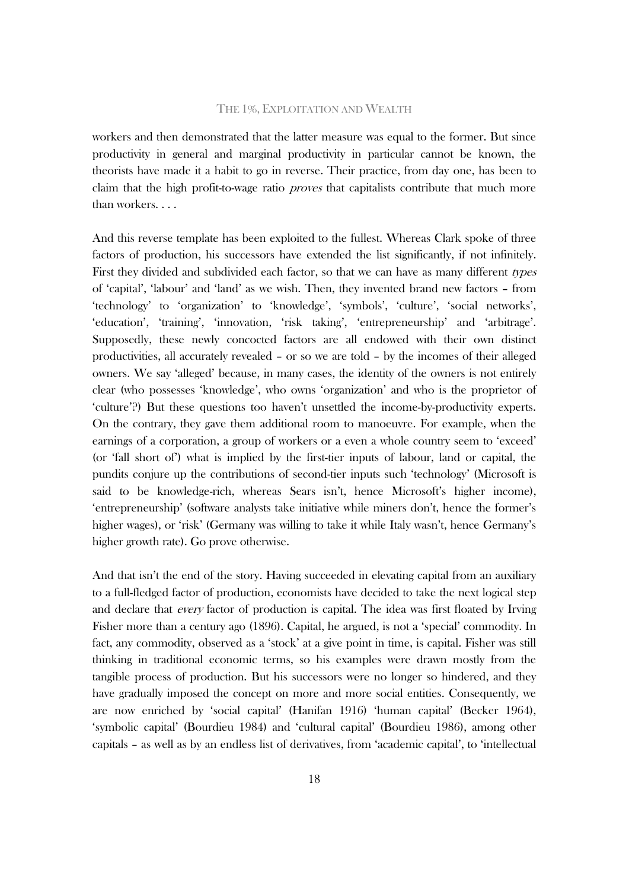workers and then demonstrated that the latter measure was equal to the former. But since productivity in general and marginal productivity in particular cannot be known, the theorists have made it a habit to go in reverse. Their practice, from day one, has been to claim that the high profit-to-wage ratio proves that capitalists contribute that much more than workers. . . .

And this reverse template has been exploited to the fullest. Whereas Clark spoke of three factors of production, his successors have extended the list significantly, if not infinitely. First they divided and subdivided each factor, so that we can have as many different types of 'capital', 'labour' and 'land' as we wish. Then, they invented brand new factors – from 'technology' to 'organization' to 'knowledge', 'symbols', 'culture', 'social networks', 'education', 'training', 'innovation, 'risk taking', 'entrepreneurship' and 'arbitrage'. Supposedly, these newly concocted factors are all endowed with their own distinct productivities, all accurately revealed – or so we are told – by the incomes of their alleged owners. We say 'alleged' because, in many cases, the identity of the owners is not entirely clear (who possesses 'knowledge', who owns 'organization' and who is the proprietor of 'culture'?) But these questions too haven't unsettled the income-by-productivity experts. On the contrary, they gave them additional room to manoeuvre. For example, when the earnings of a corporation, a group of workers or a even a whole country seem to 'exceed' (or 'fall short of') what is implied by the first-tier inputs of labour, land or capital, the pundits conjure up the contributions of second-tier inputs such 'technology' (Microsoft is said to be knowledge-rich, whereas Sears isn't, hence Microsoft's higher income), 'entrepreneurship' (software analysts take initiative while miners don't, hence the former's higher wages), or 'risk' (Germany was willing to take it while Italy wasn't, hence Germany's higher growth rate). Go prove otherwise.

And that isn't the end of the story. Having succeeded in elevating capital from an auxiliary to a full-fledged factor of production, economists have decided to take the next logical step and declare that *every* factor of production is capital. The idea was first floated by Irving Fisher more than a century ago (1896). Capital, he argued, is not a 'special' commodity. In fact, any commodity, observed as a 'stock' at a give point in time, is capital. Fisher was still thinking in traditional economic terms, so his examples were drawn mostly from the tangible process of production. But his successors were no longer so hindered, and they have gradually imposed the concept on more and more social entities. Consequently, we are now enriched by 'social capital' (Hanifan 1916) 'human capital' (Becker 1964), 'symbolic capital' (Bourdieu 1984) and 'cultural capital' (Bourdieu 1986), among other capitals – as well as by an endless list of derivatives, from 'academic capital', to 'intellectual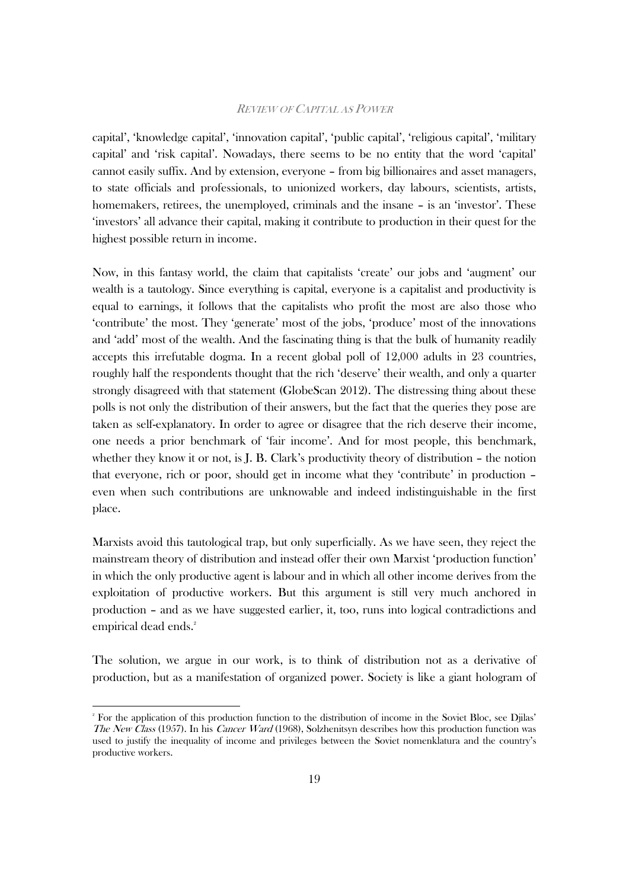capital', 'knowledge capital', 'innovation capital', 'public capital', 'religious capital', 'military capital' and 'risk capital'. Nowadays, there seems to be no entity that the word 'capital' cannot easily suffix. And by extension, everyone – from big billionaires and asset managers, to state officials and professionals, to unionized workers, day labours, scientists, artists, homemakers, retirees, the unemployed, criminals and the insane – is an 'investor'. These 'investors' all advance their capital, making it contribute to production in their quest for the highest possible return in income.

Now, in this fantasy world, the claim that capitalists 'create' our jobs and 'augment' our wealth is a tautology. Since everything is capital, everyone is a capitalist and productivity is equal to earnings, it follows that the capitalists who profit the most are also those who 'contribute' the most. They 'generate' most of the jobs, 'produce' most of the innovations and 'add' most of the wealth. And the fascinating thing is that the bulk of humanity readily accepts this irrefutable dogma. In a recent global poll of 12,000 adults in 23 countries, roughly half the respondents thought that the rich 'deserve' their wealth, and only a quarter strongly disagreed with that statement (GlobeScan 2012). The distressing thing about these polls is not only the distribution of their answers, but the fact that the queries they pose are taken as self-explanatory. In order to agree or disagree that the rich deserve their income, one needs a prior benchmark of 'fair income'. And for most people, this benchmark, whether they know it or not, is J. B. Clark's productivity theory of distribution – the notion that everyone, rich or poor, should get in income what they 'contribute' in production – even when such contributions are unknowable and indeed indistinguishable in the first place.

Marxists avoid this tautological trap, but only superficially. As we have seen, they reject the mainstream theory of distribution and instead offer their own Marxist 'production function' in which the only productive agent is labour and in which all other income derives from the exploitation of productive workers. But this argument is still very much anchored in production – and as we have suggested earlier, it, too, runs into logical contradictions and empirical dead ends.<sup>2</sup>

The solution, we argue in our work, is to think of distribution not as a derivative of production, but as a manifestation of organized power. Society is like a giant hologram of

l

<sup>2</sup> For the application of this production function to the distribution of income in the Soviet Bloc, see Djilas' The New Class (1957). In his Cancer Ward (1968), Solzhenitsyn describes how this production function was used to justify the inequality of income and privileges between the Soviet nomenklatura and the country's productive workers.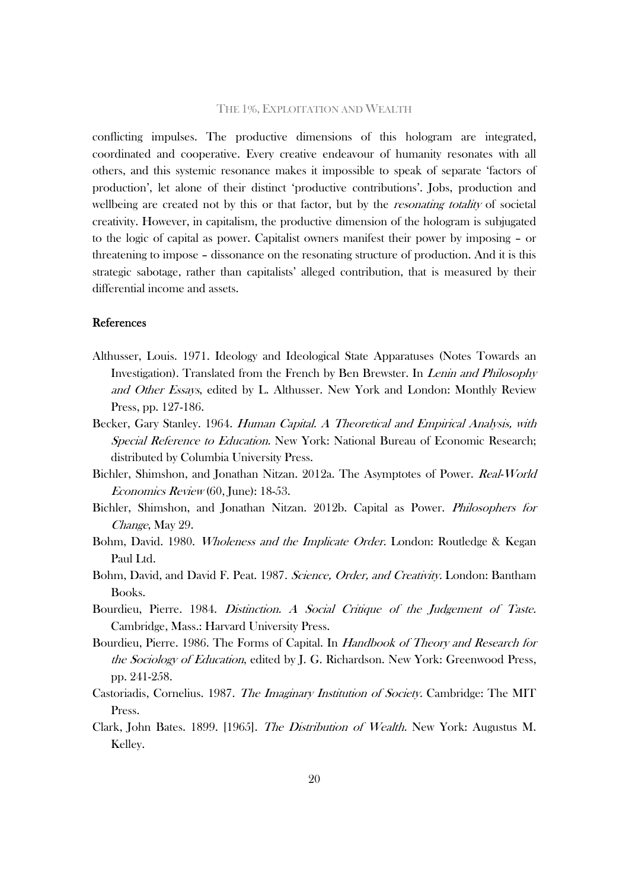conflicting impulses. The productive dimensions of this hologram are integrated, coordinated and cooperative. Every creative endeavour of humanity resonates with all others, and this systemic resonance makes it impossible to speak of separate 'factors of production', let alone of their distinct 'productive contributions'. Jobs, production and wellbeing are created not by this or that factor, but by the *resonating totality* of societal creativity. However, in capitalism, the productive dimension of the hologram is subjugated to the logic of capital as power. Capitalist owners manifest their power by imposing – or threatening to impose – dissonance on the resonating structure of production. And it is this strategic sabotage, rather than capitalists' alleged contribution, that is measured by their differential income and assets.

## References

- Althusser, Louis. 1971. Ideology and Ideological State Apparatuses (Notes Towards an Investigation). Translated from the French by Ben Brewster. In Lenin and Philosophy and Other Essays, edited by L. Althusser. New York and London: Monthly Review Press, pp. 127-186.
- Becker, Gary Stanley. 1964. Human Capital. A Theoretical and Empirical Analysis, with Special Reference to Education. New York: National Bureau of Economic Research; distributed by Columbia University Press.
- Bichler, Shimshon, and Jonathan Nitzan. 2012a. The Asymptotes of Power. Real-World Economics Review (60, June): 18-53.
- Bichler, Shimshon, and Jonathan Nitzan. 2012b. Capital as Power. Philosophers for Change, May 29.
- Bohm, David. 1980. *Wholeness and the Implicate Order*. London: Routledge & Kegan Paul Ltd.
- Bohm, David, and David F. Peat. 1987. Science, Order, and Creativity. London: Bantham Books.
- Bourdieu, Pierre. 1984. Distinction. A Social Critique of the Judgement of Taste. Cambridge, Mass.: Harvard University Press.
- Bourdieu, Pierre. 1986. The Forms of Capital. In Handbook of Theory and Research for the Sociology of Education, edited by J. G. Richardson. New York: Greenwood Press, pp. 241-258.
- Castoriadis, Cornelius. 1987. The Imaginary Institution of Society. Cambridge: The MIT Press.
- Clark, John Bates. 1899. [1965]. The Distribution of Wealth. New York: Augustus M. Kelley.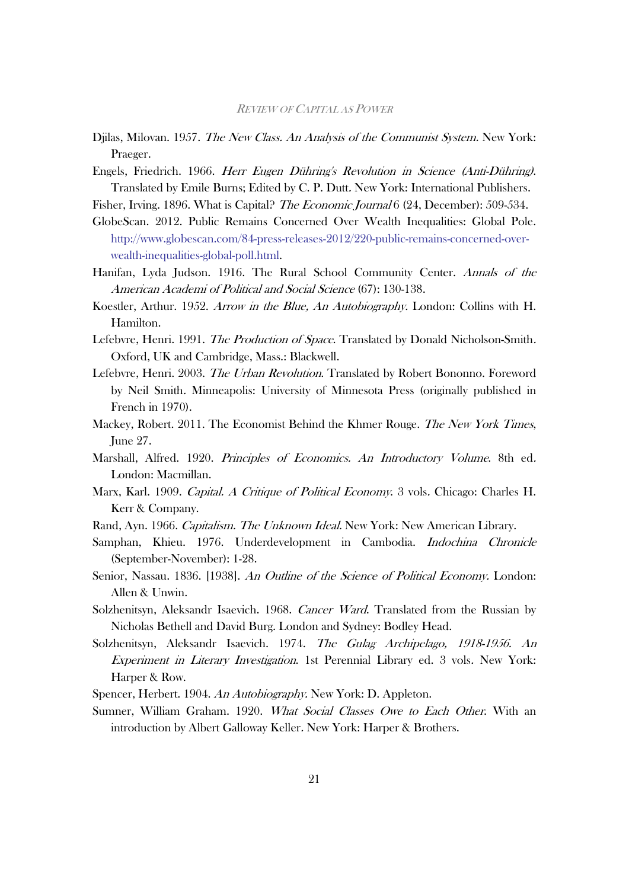- Djilas, Milovan. 1957. *The New Class. An Analysis of the Communist System*. New York: Praeger.
- Engels, Friedrich. 1966. Herr Eugen Dühring's Revolution in Science (Anti-Dühring). Translated by Emile Burns; Edited by C. P. Dutt. New York: International Publishers.

Fisher, Irving. 1896. What is Capital? The Economic Journal 6 (24, December): 509-534.

- GlobeScan. 2012. Public Remains Concerned Over Wealth Inequalities: Global Pole. http://www.globescan.com/84-press-releases-2012/220-public-remains-concerned-overwealth-inequalities-global-poll.html.
- Hanifan, Lyda Judson. 1916. The Rural School Community Center. Annals of the American Academi of Political and Social Science (67): 130-138.
- Koestler, Arthur. 1952. Arrow in the Blue, An Autobiography. London: Collins with H. Hamilton.
- Lefebvre, Henri. 1991. The Production of Space. Translated by Donald Nicholson-Smith. Oxford, UK and Cambridge, Mass.: Blackwell.
- Lefebvre, Henri. 2003. *The Urban Revolution*. Translated by Robert Bononno. Foreword by Neil Smith. Minneapolis: University of Minnesota Press (originally published in French in 1970).
- Mackey, Robert. 2011. The Economist Behind the Khmer Rouge. The New York Times, June 27.
- Marshall, Alfred. 1920. Principles of Economics. An Introductory Volume. 8th ed. London: Macmillan.
- Marx, Karl. 1909. Capital. A Critique of Political Economy. 3 vols. Chicago: Charles H. Kerr & Company.
- Rand, Ayn. 1966. Capitalism. The Unknown Ideal. New York: New American Library.
- Samphan, Khieu. 1976. Underdevelopment in Cambodia. Indochina Chronicle (September-November): 1-28.
- Senior, Nassau. 1836. [1938]. An Outline of the Science of Political Economy. London: Allen & Unwin.
- Solzhenitsyn, Aleksandr Isaevich. 1968. Cancer Ward. Translated from the Russian by Nicholas Bethell and David Burg. London and Sydney: Bodley Head.
- Solzhenitsyn, Aleksandr Isaevich. 1974. The Gulag Archipelago, 1918-1956. An Experiment in Literary Investigation. 1st Perennial Library ed. 3 vols. New York: Harper & Row.
- Spencer, Herbert. 1904. An Autobiography. New York: D. Appleton.
- Sumner, William Graham. 1920. What Social Classes Owe to Each Other. With an introduction by Albert Galloway Keller. New York: Harper & Brothers.